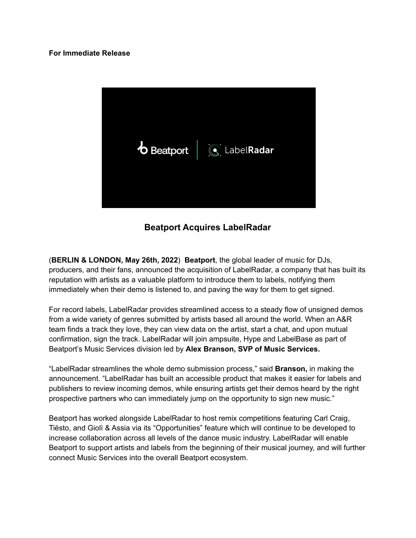## **For Immediate Release**



**Beatport Acquires LabelRadar**

(**BERLIN & LONDON, May 26th, 2022**) **Beatport**, the global leader of music for DJs, producers, and their fans, announced the acquisition of LabelRadar, a company that has built its reputation with artists as a valuable platform to introduce them to labels, notifying them immediately when their demo is listened to, and paving the way for them to get signed.

For record labels, LabelRadar provides streamlined access to a steady flow of unsigned demos from a wide variety of genres submitted by artists based all around the world. When an A&R team finds a track they love, they can view data on the artist, start a chat, and upon mutual confirmation, sign the track. LabelRadar will join ampsuite, Hype and LabelBase as part of Beatport's Music Services division led by **Alex Branson, SVP of Music Services.**

"LabelRadar streamlines the whole demo submission process," said **Branson,** in making the announcement. "LabelRadar has built an accessible product that makes it easier for labels and publishers to review incoming demos, while ensuring artists get their demos heard by the right prospective partners who can immediately jump on the opportunity to sign new music."

Beatport has worked alongside LabelRadar to host remix competitions featuring Carl Craig, Tiësto, and Giolì & Assia via its "Opportunities" feature which will continue to be developed to increase collaboration across all levels of the dance music industry. LabelRadar will enable Beatport to support artists and labels from the beginning of their musical journey, and will further connect Music Services into the overall Beatport ecosystem.